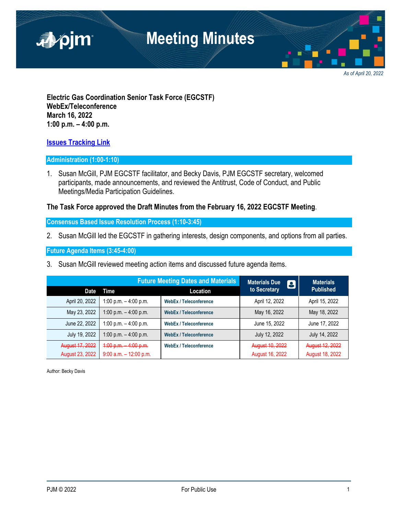

*As of April 20, 2022*

**Electric Gas Coordination Senior Task Force (EGCSTF) WebEx/Teleconference March 16, 2022 1:00 p.m. – 4:00 p.m.**

#### **[Issues Tracking Link](https://www.pjm.com/committees-and-groups/issue-tracking/issue-tracking-details.aspx?Issue=e3c8385c-0638-4a1d-a5d2-8b1a2a87c295)**

#### **Administration (1:00-1:10)**

1. Susan McGill, PJM EGCSTF facilitator, and Becky Davis, PJM EGCSTF secretary, welcomed participants, made announcements, and reviewed the Antitrust, Code of Conduct, and Public Meetings/Media Participation Guidelines.

#### **The Task Force approved the Draft Minutes from the February 16, 2022 EGCSTF Meeting**.

**Consensus Based Issue Resolution Process (1:10-3:45)**

2. Susan McGill led the EGCSTF in gathering interests, design components, and options from all parties.

**Future Agenda Items (3:45-4:00)**

3. Susan McGill reviewed meeting action items and discussed future agenda items.

|                        |                           | <b>Future Meeting Dates and Materials</b> | <b>Materials Due</b><br>8 | <b>Materials</b> |
|------------------------|---------------------------|-------------------------------------------|---------------------------|------------------|
| <b>Date</b>            | Time                      | <b>Location</b>                           | to Secretary              | <b>Published</b> |
| April 20, 2022         | 1:00 p.m. $-$ 4:00 p.m.   | <b>WebEx / Teleconference</b>             | April 12, 2022            | April 15, 2022   |
| May 23, 2022           | 1:00 p.m. $-$ 4:00 p.m.   | <b>WebEx / Teleconference</b>             | May 16, 2022              | May 18, 2022     |
| June 22, 2022          | 1:00 p.m. $-$ 4:00 p.m.   | <b>WebEx / Teleconference</b>             | June 15, 2022             | June 17, 2022    |
| July 19, 2022          | 1:00 p.m. $-$ 4:00 p.m.   | <b>WebEx / Teleconference</b>             | July 12, 2022             | July 14, 2022    |
| August 17, 2022        | $4:00 p.m.$ 4:00 p.m.     | <b>WebEx / Teleconference</b>             | August 10, 2022           | August 12, 2022  |
| <b>August 23, 2022</b> | $9:00$ a.m. $-12:00$ p.m. |                                           | August 16, 2022           | August 18, 2022  |

Author: Becky Davis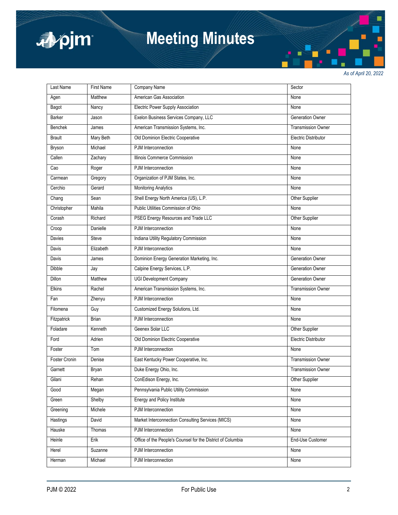

# **Meeting Minutes**

*As of April 20, 2022*

| Last Name      | <b>First Name</b> | Company Name                                                | Sector                      |
|----------------|-------------------|-------------------------------------------------------------|-----------------------------|
| Agen           | Matthew           | American Gas Association                                    | None                        |
| Bagot          | Nancy             | <b>Electric Power Supply Association</b>                    | None                        |
| <b>Barker</b>  | Jason             | Exelon Business Services Company, LLC                       | Generation Owner            |
| <b>Benchek</b> | James             | American Transmission Systems, Inc.                         | <b>Transmission Owner</b>   |
| <b>Brault</b>  | Mary Beth         | Old Dominion Electric Cooperative                           | <b>Electric Distributor</b> |
| Bryson         | Michael           | PJM Interconnection                                         | None                        |
| Callen         | Zachary           | Illinois Commerce Commission                                | None                        |
| Cao            | Roger             | PJM Interconnection                                         | None                        |
| Carmean        | Gregory           | Organization of PJM States, Inc.                            | None                        |
| Cerchio        | Gerard            | <b>Monitoring Analytics</b>                                 | None                        |
| Chang          | Sean              | Shell Energy North America (US), L.P.                       | Other Supplier              |
| Christopher    | Mahila            | Public Utilities Commission of Ohio                         | None                        |
| Corash         | Richard           | PSEG Energy Resources and Trade LLC                         | Other Supplier              |
| Croop          | Danielle          | PJM Interconnection                                         | None                        |
| Davies         | Steve             | Indiana Utility Regulatory Commission                       | None                        |
| Davis          | Elizabeth         | PJM Interconnection                                         | None                        |
| Davis          | James             | Dominion Energy Generation Marketing, Inc.                  | Generation Owner            |
| <b>Dibble</b>  | Jay               | Calpine Energy Services, L.P.                               | Generation Owner            |
| <b>Dillon</b>  | Matthew           | UGI Development Company                                     | Generation Owner            |
| Elkins         | Rachel            | American Transmission Systems, Inc.                         | <b>Transmission Owner</b>   |
| Fan            | Zhenyu            | PJM Interconnection                                         | None                        |
| Filomena       | Guy               | Customized Energy Solutions, Ltd.                           | None                        |
| Fitzpatrick    | <b>Brian</b>      | PJM Interconnection                                         | None                        |
| Foladare       | Kenneth           | Geenex Solar LLC                                            | Other Supplier              |
| Ford           | Adrien            | Old Dominion Electric Cooperative                           | <b>Electric Distributor</b> |
| Foster         | Tom               | PJM Interconnection                                         | None                        |
| Foster Cronin  | Denise            | East Kentucky Power Cooperative, Inc.                       | <b>Transmission Owner</b>   |
| Garnett        | Bryan             | Duke Energy Ohio, Inc.                                      | <b>Transmission Owner</b>   |
| Gilani         | Rehan             | ConEdison Energy, Inc.                                      | Other Supplier              |
| Good           | Megan             | Pennsylvania Public Utility Commission                      | None                        |
| Green          | Shelby            | <b>Energy and Policy Institute</b>                          | None                        |
| Greening       | Michele           | PJM Interconnection                                         | None                        |
| Hastings       | David             | Market Interconnection Consulting Services (MICS)           | None                        |
| Hauske         | Thomas            | PJM Interconnection                                         | None                        |
| Heinle         | Erik              | Office of the People's Counsel for the District of Columbia | End-Use Customer            |
| Herel          | Suzanne           | PJM Interconnection                                         | None                        |
| Herman         | Michael           | PJM Interconnection                                         | None                        |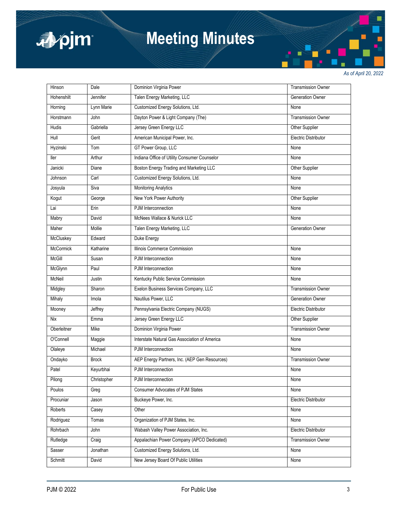

# **Meeting Minutes**

*As of April 20, 2022*

| Hinson           | Dale          | Dominion Virginia Power                        | <b>Transmission Owner</b>   |
|------------------|---------------|------------------------------------------------|-----------------------------|
| Hohenshilt       | Jennifer      | Talen Energy Marketing, LLC                    | <b>Generation Owner</b>     |
| Horning          | Lynn Marie    | Customized Energy Solutions, Ltd.              | None                        |
| Horstmann        | John          | Dayton Power & Light Company (The)             | <b>Transmission Owner</b>   |
| <b>Hudis</b>     | Gabriella     | Jersey Green Energy LLC                        | Other Supplier              |
| Hull             | Gerit         | American Municipal Power, Inc.                 | <b>Electric Distributor</b> |
| Hyzinski         | Tom           | GT Power Group, LLC                            | None                        |
| ller             | Arthur        | Indiana Office of Utility Consumer Counselor   | None                        |
| Janicki          | Diane         | <b>Boston Energy Trading and Marketing LLC</b> | Other Supplier              |
| Johnson          | Carl          | Customized Energy Solutions, Ltd.              | None                        |
| Josyula          | Siva          | <b>Monitoring Analytics</b>                    | None                        |
| Kogut            | George        | New York Power Authority                       | Other Supplier              |
| Lai              | Erin          | PJM Interconnection                            | None                        |
| Mabry            | David         | McNees Wallace & Nurick LLC                    | None                        |
| Maher            | Mollie        | Talen Energy Marketing, LLC                    | <b>Generation Owner</b>     |
| McCluskey        | Edward        | Duke Energy                                    |                             |
| <b>McCormick</b> | Katharine     | Illinois Commerce Commission                   | None                        |
| McGill           | Susan         | PJM Interconnection                            | None                        |
| McGlynn          | Paul          | PJM Interconnection                            | None                        |
| McNeil           | <b>Justin</b> | Kentucky Public Service Commission             | None                        |
| Midgley          | Sharon        | Exelon Business Services Company, LLC          | <b>Transmission Owner</b>   |
| Mihaly           | Imola         | Nautilus Power, LLC                            | Generation Owner            |
| Mooney           | Jeffrey       | Pennsylvania Electric Company (NUGS)           | <b>Electric Distributor</b> |
| <b>Nix</b>       | Emma          | Jersey Green Energy LLC                        | Other Supplier              |
| Oberleitner      | Mike          | Dominion Virginia Power                        | <b>Transmission Owner</b>   |
| O'Connell        | Maggie        | Interstate Natural Gas Association of America  | None                        |
| Olaleye          | Michael       | PJM Interconnection                            | None                        |
| Ondayko          | <b>Brock</b>  | AEP Energy Partners, Inc. (AEP Gen Resources)  | <b>Transmission Owner</b>   |
| Patel            | Keyurbhai     | PJM Interconnection                            | None                        |
| Pilong           | Christopher   | PJM Interconnection                            | None                        |
| Poulos           | Greg          | <b>Consumer Advocates of PJM States</b>        | None                        |
| Procuniar        | Jason         | Buckeye Power, Inc.                            | <b>Electric Distributor</b> |
| Roberts          | Casey         | Other                                          | None                        |
| Rodriguez        | Tomas         | Organization of PJM States, Inc.               | None                        |
| Rohrbach         | John          | Wabash Valley Power Association, Inc.          | <b>Electric Distributor</b> |
| Rutledge         | Craig         | Appalachian Power Company (APCO Dedicated)     | <b>Transmission Owner</b>   |
| Sasser           | Jonathan      | Customized Energy Solutions, Ltd.              | None                        |
| Schmitt          | David         | New Jersey Board Of Public Utilities           | None                        |